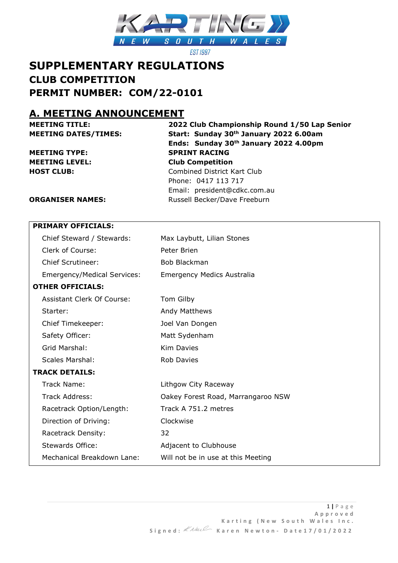

**EST 1987** 

# **SUPPLEMENTARY REGULATIONS CLUB COMPETITION PERMIT NUMBER: COM/22-0101**

# **A. MEETING ANNOUNCEMENT**

**MEETING TITLE: 2022 Club Championship Round 1/50 Lap Senior MEETING DATES/TIMES: Start: Sunday 30th January 2022 6.00am Ends: Sunday 30th January 2022 4.00pm MEETING TYPE: SPRINT RACING MEETING LEVEL: Club Competition HOST CLUB:** Combined District Kart Club Phone: 0417 113 717 Email: president@cdkc.com.au

#### **ORGANISER NAMES:** Russell Becker/Dave Freeburn

#### **PRIMARY OFFICIALS:**

|                       | Chief Steward / Stewards:          | Max Laybutt, Lilian Stones         |
|-----------------------|------------------------------------|------------------------------------|
|                       | Clerk of Course:                   | Peter Brien                        |
|                       | <b>Chief Scrutineer:</b>           | Bob Blackman                       |
|                       | <b>Emergency/Medical Services:</b> | Emergency Medics Australia         |
|                       | <b>OTHER OFFICIALS:</b>            |                                    |
|                       | Assistant Clerk Of Course:         | Tom Gilby                          |
|                       | Starter:                           | Andy Matthews                      |
|                       | Chief Timekeeper:                  | Joel Van Dongen                    |
|                       | Safety Officer:                    | Matt Sydenham                      |
|                       | Grid Marshal:                      | <b>Kim Davies</b>                  |
|                       | Scales Marshal:                    | <b>Rob Davies</b>                  |
| <b>TRACK DETAILS:</b> |                                    |                                    |
|                       | Track Name:                        | Lithgow City Raceway               |
|                       | <b>Track Address:</b>              | Oakey Forest Road, Marrangaroo NSW |
|                       | Racetrack Option/Length:           | Track A 751.2 metres               |
|                       | Direction of Driving:              | Clockwise                          |
|                       | Racetrack Density:                 | 32                                 |
|                       | <b>Stewards Office:</b>            | Adjacent to Clubhouse              |
|                       | Mechanical Breakdown Lane:         | Will not be in use at this Meeting |
|                       |                                    |                                    |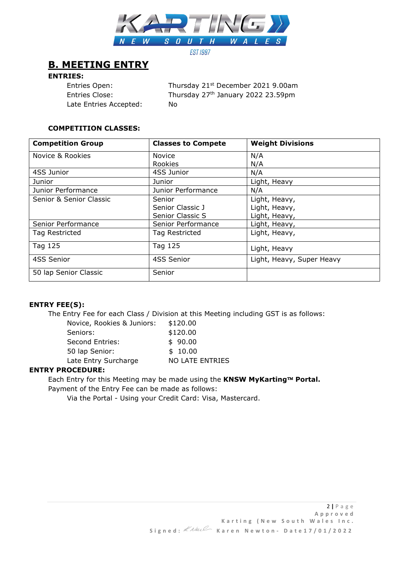

# **B. MEETING ENTRY**

#### **ENTRIES:**

Entries Open: Thursday 21<sup>st</sup> December 2021 9.00am Entries Close: Thursday 27<sup>th</sup> January 2022 23.59pm Late Entries Accepted: No

## **COMPETITION CLASSES:**

| <b>Competition Group</b> | <b>Classes to Compete</b> | <b>Weight Divisions</b>   |
|--------------------------|---------------------------|---------------------------|
| Novice & Rookies         | <b>Novice</b>             | N/A                       |
|                          | Rookies                   | N/A                       |
| 4SS Junior               | 4SS Junior                | N/A                       |
| Junior                   | Junior                    | Light, Heavy              |
| Junior Performance       | Junior Performance        | N/A                       |
| Senior & Senior Classic  | Senior                    | Light, Heavy,             |
|                          | Senior Classic J          | Light, Heavy,             |
|                          | Senior Classic S          | Light, Heavy,             |
| Senior Performance       | Senior Performance        | Light, Heavy,             |
| Tag Restricted           | Tag Restricted            | Light, Heavy,             |
| Tag 125                  | Tag 125                   | Light, Heavy              |
| 4SS Senior               | 4SS Senior                | Light, Heavy, Super Heavy |
| 50 lap Senior Classic    | Senior                    |                           |

## **ENTRY FEE(S):**

The Entry Fee for each Class / Division at this Meeting including GST is as follows:

| Novice, Rookies & Juniors: | \$120.00               |
|----------------------------|------------------------|
| Seniors:                   | \$120.00               |
| <b>Second Entries:</b>     | \$90.00                |
| 50 lap Senior:             | \$10.00                |
| Late Entry Surcharge       | <b>NO LATE ENTRIES</b> |
|                            |                        |

#### **ENTRY PROCEDURE:**

Each Entry for this Meeting may be made using the KNSW MyKarting™ Portal. Payment of the Entry Fee can be made as follows:

Via the Portal - Using your Credit Card: Visa, Mastercard.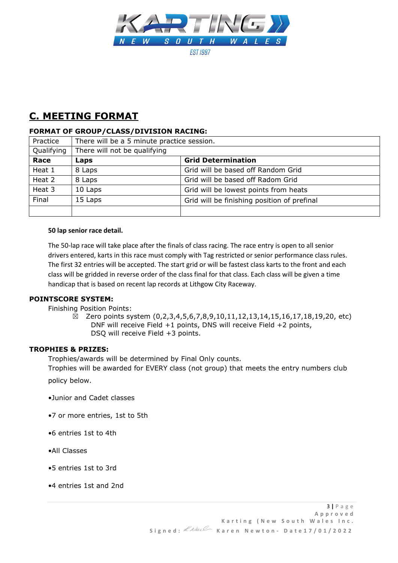

# **C. MEETING FORMAT**

## **FORMAT OF GROUP/CLASS/DIVISION RACING:**

| Practice   | There will be a 5 minute practice session. |                                             |  |
|------------|--------------------------------------------|---------------------------------------------|--|
| Qualifying | There will not be qualifying               |                                             |  |
| Race       | Laps                                       | <b>Grid Determination</b>                   |  |
| Heat 1     | 8 Laps                                     | Grid will be based off Random Grid          |  |
| Heat 2     | 8 Laps                                     | Grid will be based off Radom Grid           |  |
| Heat 3     | 10 Laps                                    | Grid will be lowest points from heats       |  |
| Final      | 15 Laps                                    | Grid will be finishing position of prefinal |  |
|            |                                            |                                             |  |

#### **50 lap senior race detail.**

The 50-lap race will take place after the finals of class racing. The race entry is open to all senior drivers entered, karts in this race must comply with Tag restricted or senior performance class rules. The first 32 entries will be accepted. The start grid or will be fastest class karts to the front and each class will be gridded in reverse order of the class final for that class. Each class will be given a time handicap that is based on recent lap records at Lithgow City Raceway.

#### **POINTSCORE SYSTEM:**

Finishing Position Points:

 $\boxtimes$  Zero points system (0,2,3,4,5,6,7,8,9,10,11,12,13,14,15,16,17,18,19,20, etc) DNF will receive Field +1 points, DNS will receive Field +2 points, DSQ will receive Field +3 points.

#### **TROPHIES & PRIZES:**

Trophies/awards will be determined by Final Only counts.

Trophies will be awarded for EVERY class (not group) that meets the entry numbers club

policy below.

- •Junior and Cadet classes
- •7 or more entries, 1st to 5th
- •6 entries 1st to 4th
- •All Classes
- •5 entries 1st to 3rd
- •4 entries 1st and 2nd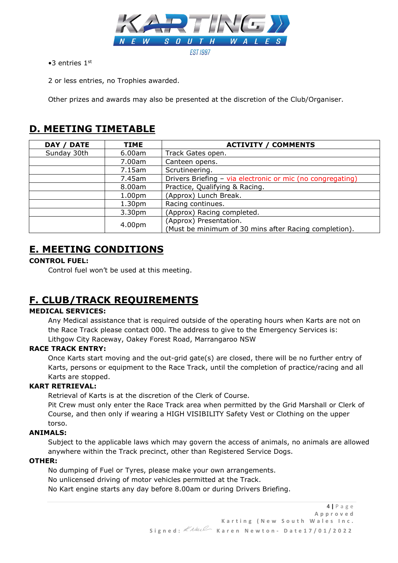

 $\bullet$ 3 entries  $1^{\text{st}}$ 

2 or less entries, no Trophies awarded.

Other prizes and awards may also be presented at the discretion of the Club/Organiser.

# **D. MEETING TIMETABLE**

| <b>DATE</b><br><b>DAY</b> | TIME               | <b>ACTIVITY / COMMENTS</b>                                 |
|---------------------------|--------------------|------------------------------------------------------------|
| Sunday 30th               | 6.00am             | Track Gates open.                                          |
|                           | 7.00am             | Canteen opens.                                             |
|                           | 7.15am             | Scrutineering.                                             |
|                           | 7.45am             | Drivers Briefing - via electronic or mic (no congregating) |
|                           | 8.00am             | Practice, Qualifying & Racing.                             |
|                           | 1.00 <sub>pm</sub> | (Approx) Lunch Break.                                      |
|                           | 1.30 <sub>pm</sub> | Racing continues.                                          |
|                           | 3.30pm             | (Approx) Racing completed.                                 |
|                           | 4.00pm             | (Approx) Presentation.                                     |
|                           |                    | (Must be minimum of 30 mins after Racing completion).      |

# **E. MEETING CONDITIONS**

# **CONTROL FUEL:**

Control fuel won't be used at this meeting.

# **F. CLUB/TRACK REQUIREMENTS**

# **MEDICAL SERVICES:**

Any Medical assistance that is required outside of the operating hours when Karts are not on the Race Track please contact 000. The address to give to the Emergency Services is: Lithgow City Raceway, Oakey Forest Road, Marrangaroo NSW

## **RACE TRACK ENTRY:**

Once Karts start moving and the out-grid gate(s) are closed, there will be no further entry of Karts, persons or equipment to the Race Track, until the completion of practice/racing and all Karts are stopped.

# **KART RETRIEVAL:**

Retrieval of Karts is at the discretion of the Clerk of Course.

Pit Crew must only enter the Race Track area when permitted by the Grid Marshall or Clerk of Course, and then only if wearing a HIGH VISIBILITY Safety Vest or Clothing on the upper torso.

## **ANIMALS:**

Subject to the applicable laws which may govern the access of animals, no animals are allowed anywhere within the Track precinct, other than Registered Service Dogs.

## **OTHER:**

No dumping of Fuel or Tyres, please make your own arrangements. No unlicensed driving of motor vehicles permitted at the Track. No Kart engine starts any day before 8.00am or during Drivers Briefing.